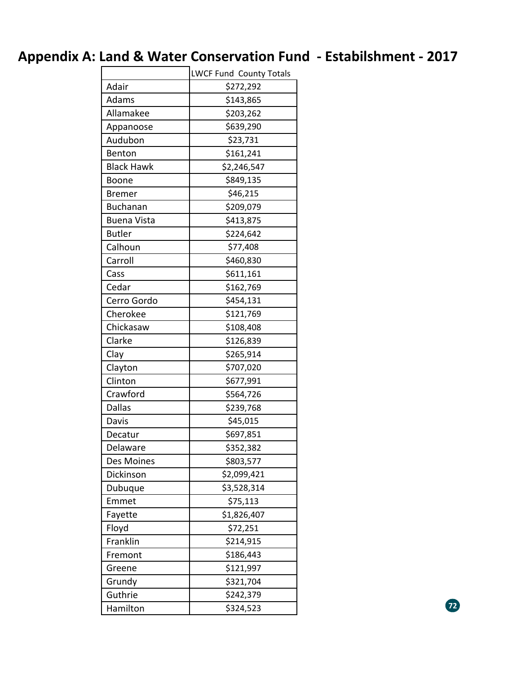## **Appendix A: Land & Water Conservation Fund ‐ Estabilshment ‐ 2017**

|                    | LWCF Fund County Totals |  |
|--------------------|-------------------------|--|
| Adair              | \$272,292               |  |
| Adams              | \$143,865               |  |
| Allamakee          | \$203,262               |  |
| Appanoose          | \$639,290               |  |
| Audubon            | \$23,731                |  |
| Benton             | \$161,241               |  |
| <b>Black Hawk</b>  | \$2,246,547             |  |
| Boone              | \$849,135               |  |
| <b>Bremer</b>      | \$46,215                |  |
| <b>Buchanan</b>    | \$209,079               |  |
| <b>Buena Vista</b> | \$413,875               |  |
| <b>Butler</b>      | \$224,642               |  |
| Calhoun            | \$77,408                |  |
| Carroll            | \$460,830               |  |
| Cass               | \$611,161               |  |
| Cedar              | \$162,769               |  |
| Cerro Gordo        | \$454,131               |  |
| Cherokee           | \$121,769               |  |
| Chickasaw          | \$108,408               |  |
| Clarke             | \$126,839               |  |
| Clay               | \$265,914               |  |
| Clayton            | \$707,020               |  |
| Clinton            | \$677,991               |  |
| Crawford           | \$564,726               |  |
| <b>Dallas</b>      | \$239,768               |  |
| Davis              | \$45,015                |  |
| Decatur            | \$697,851               |  |
| Delaware           | \$352,382               |  |
| Des Moines         | \$803,577               |  |
| Dickinson          | \$2,099,421             |  |
| Dubuque            | \$3,528,314             |  |
| Emmet              | \$75,113                |  |
| Fayette            | \$1,826,407             |  |
| Floyd              | \$72,251                |  |
| Franklin           | \$214,915               |  |
| Fremont            | \$186,443               |  |
| Greene             | \$121,997               |  |
| Grundy             | \$321,704               |  |
| Guthrie            | \$242,379               |  |
| Hamilton           | \$324,523               |  |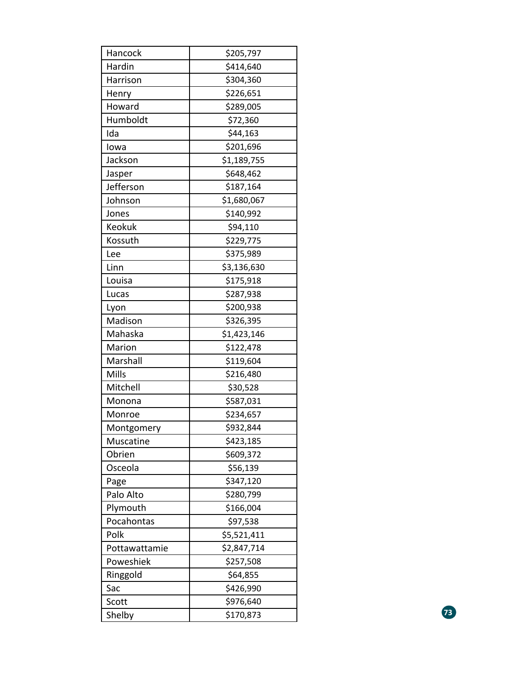| Hancock       | \$205,797   |    |
|---------------|-------------|----|
| Hardin        | \$414,640   |    |
| Harrison      | \$304,360   |    |
| Henry         | \$226,651   |    |
| Howard        | \$289,005   |    |
| Humboldt      | \$72,360    |    |
| Ida           | \$44,163    |    |
| lowa          | \$201,696   |    |
| Jackson       | \$1,189,755 |    |
| Jasper        | \$648,462   |    |
| Jefferson     | \$187,164   |    |
| Johnson       | \$1,680,067 |    |
| Jones         | \$140,992   |    |
| Keokuk        | \$94,110    |    |
| Kossuth       | \$229,775   |    |
| Lee           | \$375,989   |    |
| Linn          | \$3,136,630 |    |
| Louisa        | \$175,918   |    |
| Lucas         | \$287,938   |    |
| Lyon          | \$200,938   |    |
| Madison       | \$326,395   |    |
| Mahaska       | \$1,423,146 |    |
| Marion        | \$122,478   |    |
| Marshall      | \$119,604   |    |
| Mills         | \$216,480   |    |
| Mitchell      | \$30,528    |    |
| Monona        | \$587,031   |    |
| Monroe        | \$234,657   |    |
| Montgomery    | \$932,844   |    |
| Muscatine     | \$423,185   |    |
| Obrien        | \$609,372   |    |
| Osceola       | \$56,139    |    |
| Page          | \$347,120   |    |
| Palo Alto     | \$280,799   |    |
| Plymouth      | \$166,004   |    |
| Pocahontas    | \$97,538    |    |
| Polk          | \$5,521,411 |    |
| Pottawattamie | \$2,847,714 |    |
| Poweshiek     | \$257,508   |    |
| Ringgold      | \$64,855    |    |
| Sac           | \$426,990   |    |
| Scott         | \$976,640   |    |
| Shelby        | \$170,873   | 73 |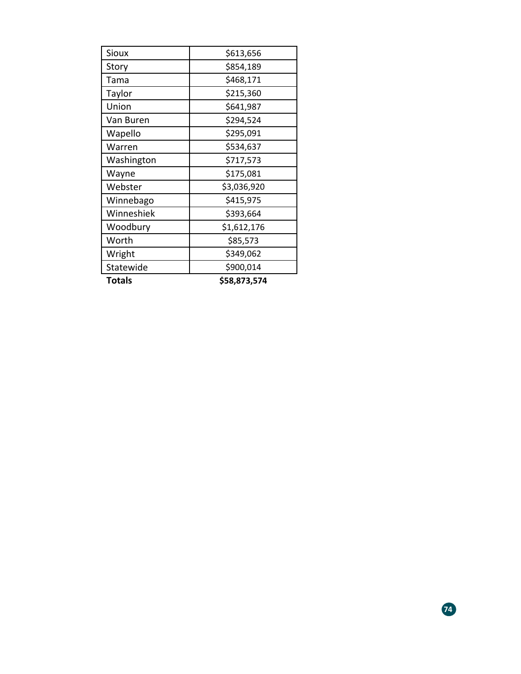| <b>Sioux</b>  | \$613,656    |
|---------------|--------------|
| Story         | \$854,189    |
| Tama          | \$468,171    |
| Taylor        | \$215,360    |
| Union         | \$641,987    |
| Van Buren     | \$294,524    |
| Wapello       | \$295,091    |
| Warren        | \$534,637    |
| Washington    | \$717,573    |
| Wayne         | \$175,081    |
| Webster       | \$3,036,920  |
| Winnebago     | \$415,975    |
| Winneshiek    | \$393,664    |
| Woodbury      | \$1,612,176  |
| Worth         | \$85,573     |
| Wright        | \$349,062    |
| Statewide     | \$900,014    |
| <b>Totals</b> | \$58,873,574 |

**74**